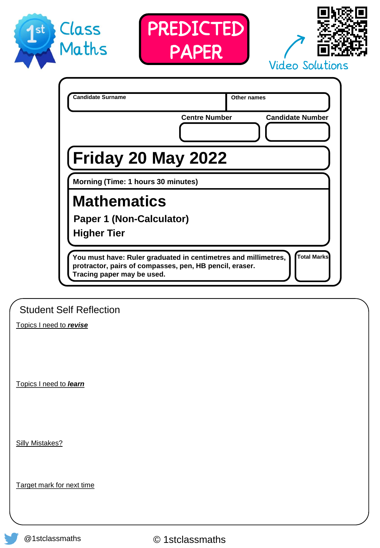





|                                                                                                                                                         | <b>Centre Number</b> | <b>Candidate Number</b> |
|---------------------------------------------------------------------------------------------------------------------------------------------------------|----------------------|-------------------------|
| Friday 20 May 2022                                                                                                                                      |                      |                         |
| Morning (Time: 1 hours 30 minutes)                                                                                                                      |                      |                         |
| <b>Mathematics</b>                                                                                                                                      |                      |                         |
| <b>Paper 1 (Non-Calculator)</b>                                                                                                                         |                      |                         |
| <b>Higher Tier</b>                                                                                                                                      |                      |                         |
| You must have: Ruler graduated in centimetres and millimetres,<br>protractor, pairs of compasses, pen, HB pencil, eraser.<br>Tracing paper may be used. |                      | <b>Total Marks</b>      |

Student Self Reflection

Topics I need to *revise*

Topics I need to *learn*

Silly Mistakes?

Target mark for next time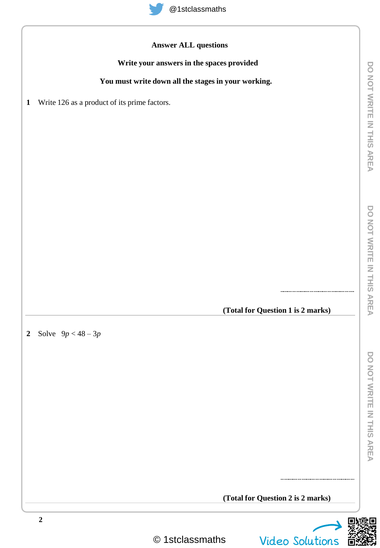

## **Answer ALL questions**

## **Write your answers in the spaces provided**

## **You must write down all the stages in your working.**

**1** Write 126 as a product of its prime factors.

**(Total for Question 1 is 2 marks)**

**2** Solve 9*p* < 48 – 3*p*

**(Total for Question 2 is 2 marks)**

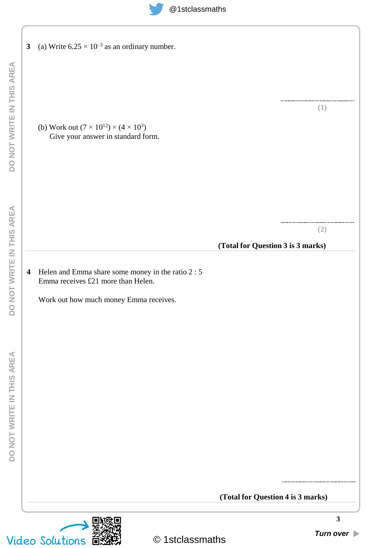**3** (a) Write  $6.25 \times 10^{-3}$  as an ordinary number.

(b) Work out  $(7 \times 10^{12}) \times (4 \times 10^3)$ Give your answer in standard form.

> **(2)**

**(1)**

 $\begin{minipage}{.4\linewidth} \begin{tabular}{l} \hline \textbf{0} & \textbf{0} & \textbf{0} & \textbf{0} & \textbf{0} & \textbf{0} & \textbf{0} & \textbf{0} & \textbf{0} & \textbf{0} & \textbf{0} & \textbf{0} & \textbf{0} & \textbf{0} & \textbf{0} & \textbf{0} & \textbf{0} & \textbf{0} & \textbf{0} & \textbf{0} & \textbf{0} & \textbf{0} & \textbf{0} & \textbf{0} & \textbf{0} & \textbf{0} & \textbf{0} & \textbf{0} & \$ 

## **(Total for Question 3 is 3 marks)**

**(Total for Question 4 is 3 marks)**

**4** Helen and Emma share some money in the ratio 2 : 5 Emma receives £21 more than Helen.

Work out how much money Emma receives.



**3**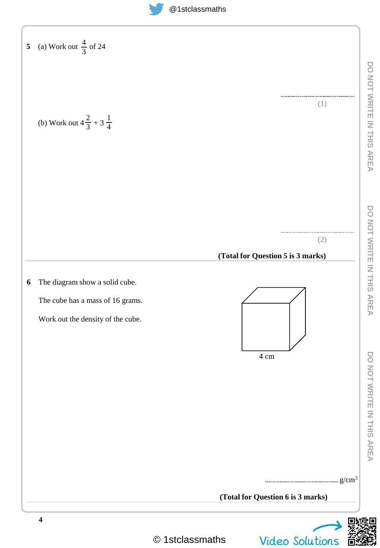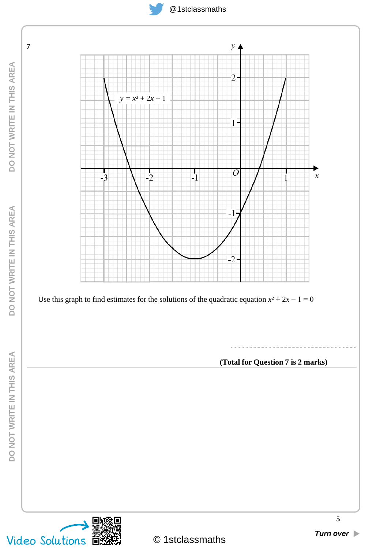

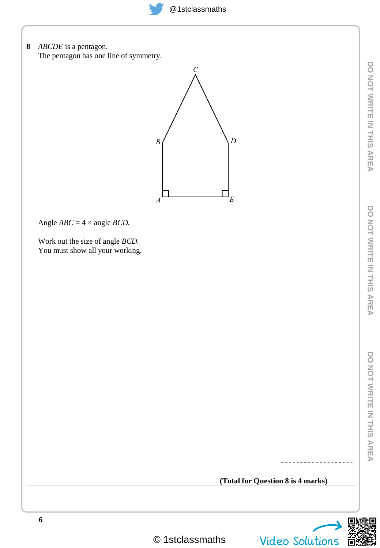**8** *ABCDE* is a pentagon. The pentagon has one line of symmetry.



Angle  $ABC = 4 \times \text{angle } BCD$ .

Work out the size of angle *BCD.* You must show all your working.

**(Total for Question 8 is 4 marks)**

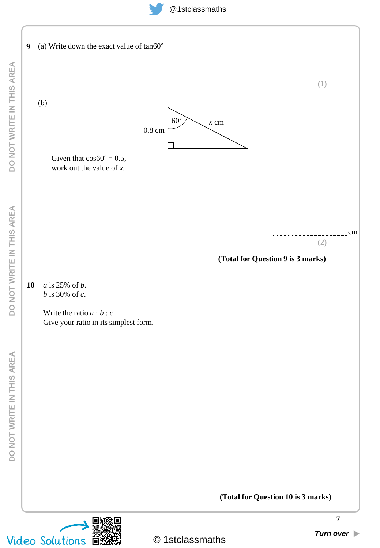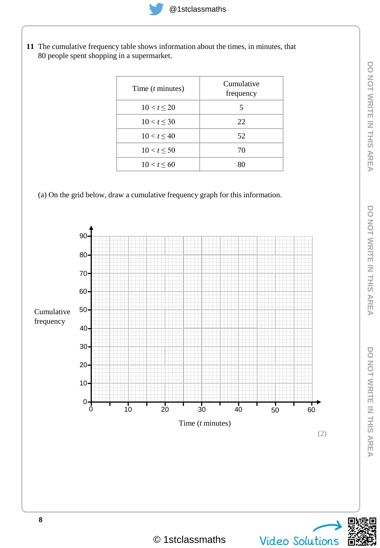**11** The cumulative frequency table shows information about the times, in minutes, that 80 people spent shopping in a supermarket.

| Time $(t \text{ minutes})$ | Cumulative<br>frequency |
|----------------------------|-------------------------|
| $10 < t \leq 20$           | 5                       |
| $10 < t \leq 30$           | 22                      |
| $10 < t \leq 40$           | 52                      |
| 10 < t < 50                | 70                      |
| $10 < t \leq 60$           |                         |

(a) On the grid below, draw a cumulative frequency graph for this information.



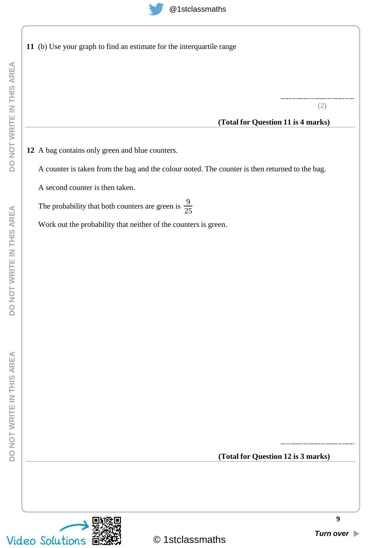

|  |  |  | 11 (b) Use your graph to find an estimate for the interquartile range |  |  |
|--|--|--|-----------------------------------------------------------------------|--|--|
|  |  |  |                                                                       |  |  |

**(2)**

### **(Total for Question 11 is 4 marks)**

**12** A bag contains only green and blue counters.

A counter is taken from the bag and the colour noted. The counter is then returned to the bag.

A second counter is then taken.

The probability that both counters are green is  $\frac{9}{2}$ 25

Work out the probability that neither of the counters is green.

**(Total for Question 12 is 3 marks)**

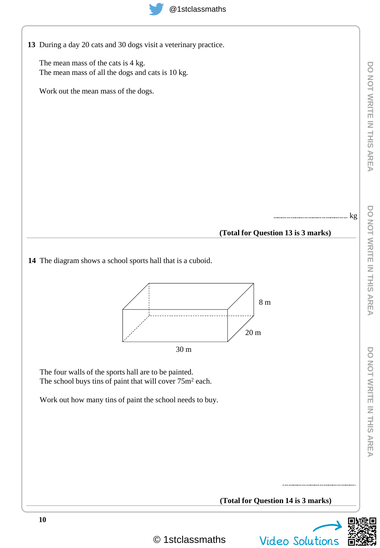| 13 During a day 20 cats and 30 dogs visit a veterinary practice. |  |
|------------------------------------------------------------------|--|

The mean mass of the cats is 4 kg. The mean mass of all the dogs and cats is 10 kg.

Work out the mean mass of the dogs.

# **(Total for Question 13 is 3 marks)**

kg

**14** The diagram shows a school sports hall that is a cuboid.



The four walls of the sports hall are to be painted. The school buys tins of paint that will cover  $75m^2$  each.

Work out how many tins of paint the school needs to buy.



DO NOT WRITE IN THIS AREA

**10**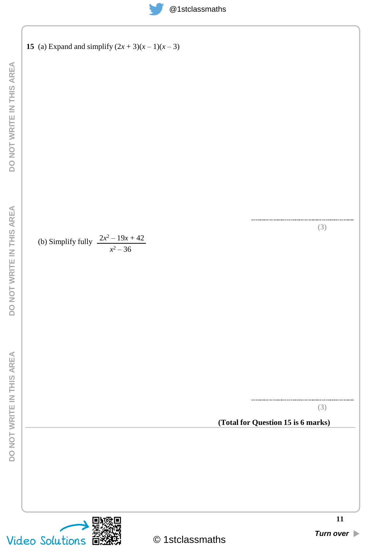

**15** (a) Expand and simplify 
$$
(2x + 3)(x - 1)(x - 3)
$$

(b) Simplify fully 
$$
\frac{2x^2 - 19x + 42}{x^2 - 36}
$$

**(3)**

**(3)**

# **(Total for Question 15 is 6 marks)**

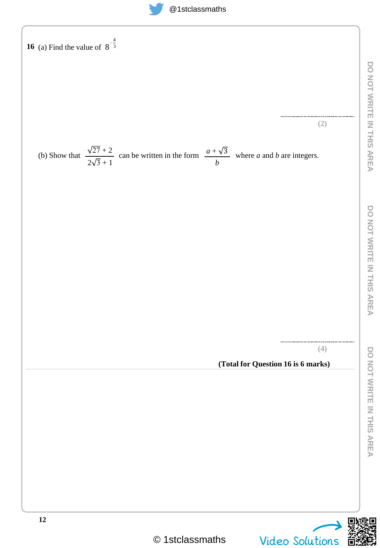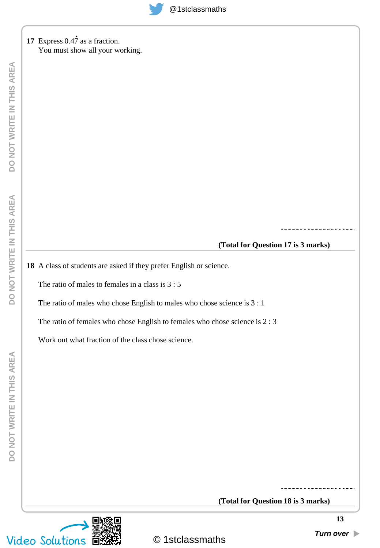17 Express 0.47 as a fraction. You must show all your working.

#### **(Total for Question 17 is 3 marks)**

**18** A class of students are asked if they prefer English or science.

The ratio of males to females in a class is 3 : 5

The ratio of males who chose English to males who chose science is 3 : 1

The ratio of females who chose English to females who chose science is 2 : 3

Work out what fraction of the class chose science.

**(Total for Question 18 is 3 marks)**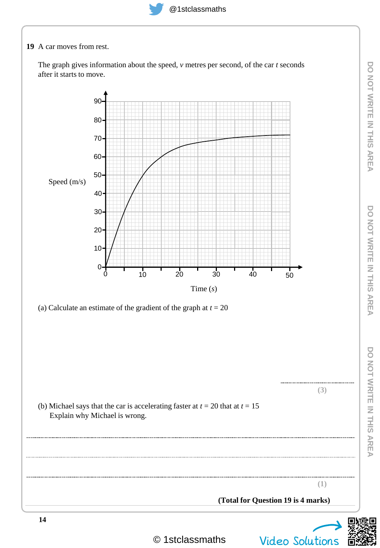**19** A car moves from rest.

The graph gives information about the speed, *v* metres per second, of the car *t* seconds after it starts to move.



© 1stclassmaths Video Solutions

**DO NOT WRITE IN THIS AREA**

**DO NOT WRITE IN THIS AREA** 

**DO NOT WRITE IN THIS AREA**

DO NOT WRITE IN THIS AREA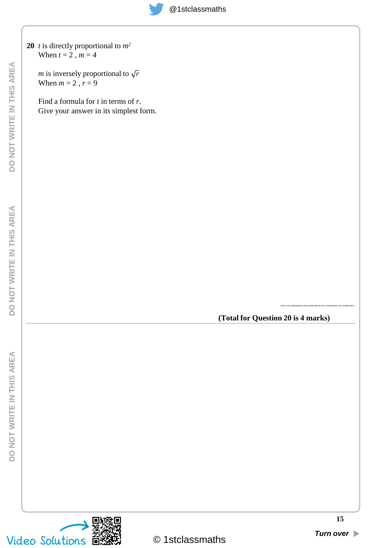

*m* is inversely proportional to  $\sqrt{r}$ When  $m = 2$ ,  $r = 9$ 

Find a formula for *t* in terms of *r*. Give your answer in its simplest form.

**(Total for Question 20 is 4 marks)**

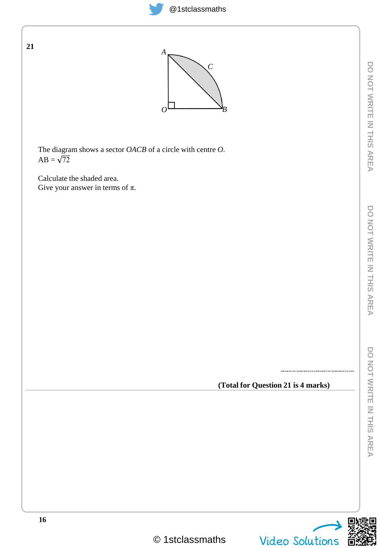



Calculate the shaded area. Give your answer in terms of  $\pi$ .

 $AB = \sqrt{72}$ 

**21**

**(Total for Question 21 is 4 marks)**

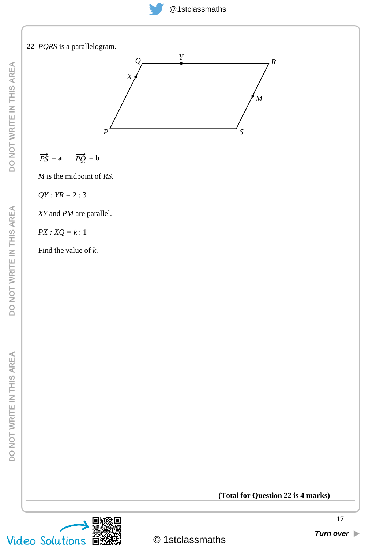

#### **(Total for Question 22 is 4 marks)**